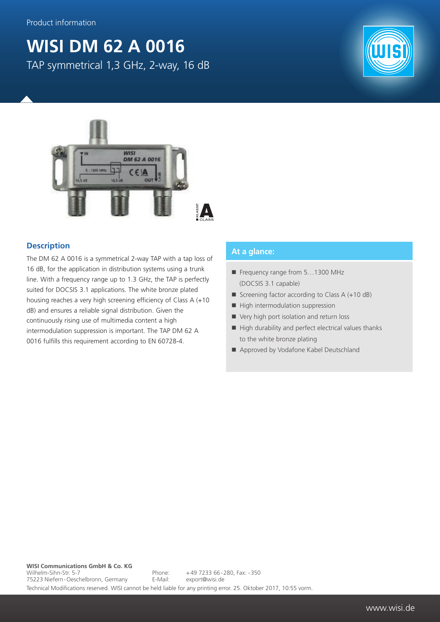## **WISI DM 62 A 0016** TAP symmetrical 1,3 GHz, 2-way, 16 dB





## **Description**

The DM 62 A 0016 is a symmetrical 2-way TAP with a tap loss of 16 dB, for the application in distribution systems using a trunk line. With a frequency range up to 1.3 GHz, the TAP is perfectly suited for DOCSIS 3.1 applications. The white bronze plated housing reaches a very high screening efficiency of Class A (+10 dB) and ensures a reliable signal distribution. Given the continuously rising use of multimedia content a high intermodulation suppression is important. The TAP DM 62 A 0016 fulfills this requirement according to EN 60728-4.

## **At a glance:**

- Frequency range from 5...1300 MHz (DOCSIS 3.1 capable)
- Screening factor according to Class  $A (+10 dB)$
- $\blacksquare$  High intermodulation suppression
- Very high port isolation and return loss
- $\blacksquare$  High durability and perfect electrical values thanks to the white bronze plating
- Approved by Vodafone Kabel Deutschland